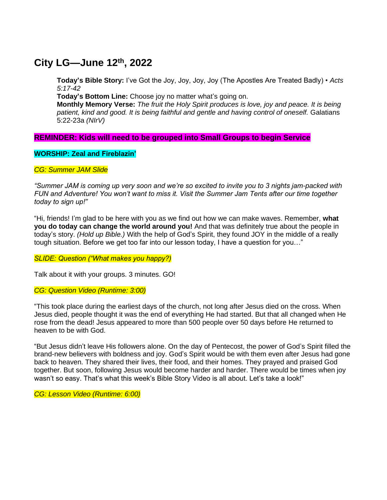## **City LG—June 12th , 2022**

**Today's Bible Story:** I've Got the Joy, Joy, Joy, Joy (The Apostles Are Treated Badly) • *Acts 5:17-42*

**Today's Bottom Line:** Choose joy no matter what's going on.

**Monthly Memory Verse:** *The fruit the Holy Spirit produces is love, joy and peace. It is being patient, kind and good. It is being faithful and gentle and having control of oneself.* Galatians 5:22-23a *(NIrV)*

## **REMINDER: Kids will need to be grouped into Small Groups to begin Service**

**WORSHIP: Zeal and Fireblazin'**

*CG: Summer JAM Slide*

*"Summer JAM is coming up very soon and we're so excited to invite you to 3 nights jam-packed with FUN and Adventure! You won't want to miss it. Visit the Summer Jam Tents after our time together today to sign up!"*

"Hi, friends! I'm glad to be here with you as we find out how we can make waves. Remember, **what you do today can change the world around you!** And that was definitely true about the people in today's story. *(Hold up Bible.)* With the help of God's Spirit, they found JOY in the middle of a really tough situation. Before we get too far into our lesson today, I have a question for you…"

*SLIDE: Question ("What makes you happy?)*

Talk about it with your groups. 3 minutes. GO!

*CG: Question Video (Runtime: 3:00)*

"This took place during the earliest days of the church, not long after Jesus died on the cross. When Jesus died, people thought it was the end of everything He had started. But that all changed when He rose from the dead! Jesus appeared to more than 500 people over 50 days before He returned to heaven to be with God.

"But Jesus didn't leave His followers alone. On the day of Pentecost, the power of God's Spirit filled the brand-new believers with boldness and joy. God's Spirit would be with them even after Jesus had gone back to heaven. They shared their lives, their food, and their homes. They prayed and praised God together. But soon, following Jesus would become harder and harder. There would be times when joy wasn't so easy. That's what this week's Bible Story Video is all about. Let's take a look!"

*CG: Lesson Video (Runtime: 6:00)*